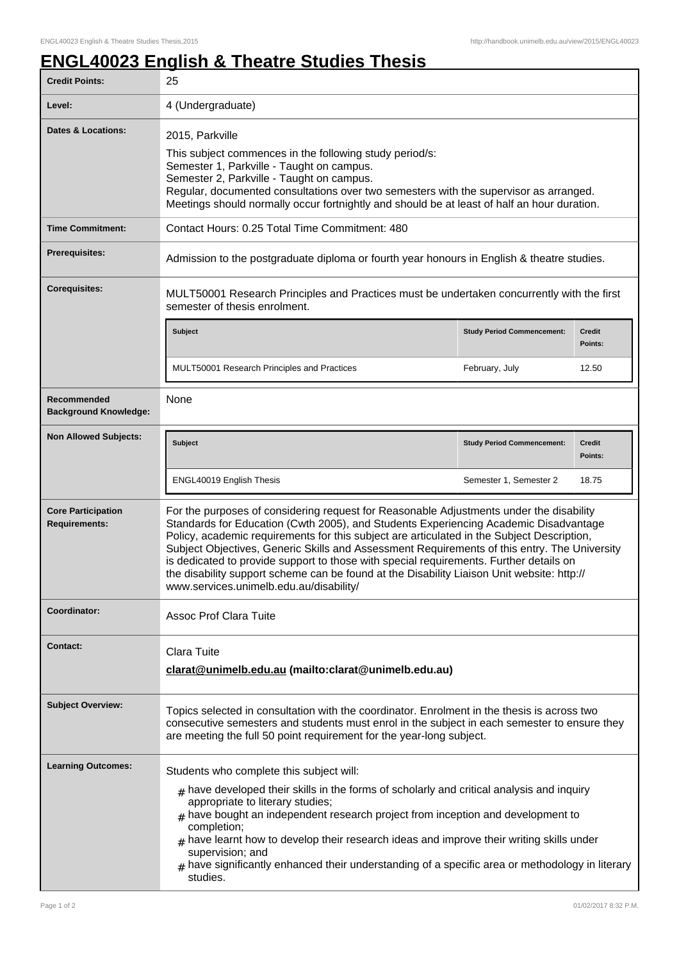## **ENGL40023 English & Theatre Studies Thesis**

| <b>Credit Points:</b>                             | 25                                                                                                                                                                                                                                                                                                                                                                                                                                                                                                                                                                                                               |                                   |                   |
|---------------------------------------------------|------------------------------------------------------------------------------------------------------------------------------------------------------------------------------------------------------------------------------------------------------------------------------------------------------------------------------------------------------------------------------------------------------------------------------------------------------------------------------------------------------------------------------------------------------------------------------------------------------------------|-----------------------------------|-------------------|
| Level:                                            | 4 (Undergraduate)                                                                                                                                                                                                                                                                                                                                                                                                                                                                                                                                                                                                |                                   |                   |
| <b>Dates &amp; Locations:</b>                     | 2015, Parkville<br>This subject commences in the following study period/s:<br>Semester 1, Parkville - Taught on campus.<br>Semester 2, Parkville - Taught on campus.<br>Regular, documented consultations over two semesters with the supervisor as arranged.<br>Meetings should normally occur fortnightly and should be at least of half an hour duration.                                                                                                                                                                                                                                                     |                                   |                   |
| <b>Time Commitment:</b>                           | Contact Hours: 0.25 Total Time Commitment: 480                                                                                                                                                                                                                                                                                                                                                                                                                                                                                                                                                                   |                                   |                   |
| <b>Prerequisites:</b>                             | Admission to the postgraduate diploma or fourth year honours in English & theatre studies.                                                                                                                                                                                                                                                                                                                                                                                                                                                                                                                       |                                   |                   |
| <b>Corequisites:</b>                              | MULT50001 Research Principles and Practices must be undertaken concurrently with the first<br>semester of thesis enrolment.                                                                                                                                                                                                                                                                                                                                                                                                                                                                                      |                                   |                   |
|                                                   | <b>Subject</b>                                                                                                                                                                                                                                                                                                                                                                                                                                                                                                                                                                                                   | <b>Study Period Commencement:</b> | Credit<br>Points: |
|                                                   | MULT50001 Research Principles and Practices                                                                                                                                                                                                                                                                                                                                                                                                                                                                                                                                                                      | February, July                    | 12.50             |
| Recommended<br><b>Background Knowledge:</b>       | None                                                                                                                                                                                                                                                                                                                                                                                                                                                                                                                                                                                                             |                                   |                   |
| <b>Non Allowed Subjects:</b>                      | <b>Subject</b>                                                                                                                                                                                                                                                                                                                                                                                                                                                                                                                                                                                                   | <b>Study Period Commencement:</b> | Credit<br>Points: |
|                                                   | ENGL40019 English Thesis                                                                                                                                                                                                                                                                                                                                                                                                                                                                                                                                                                                         | Semester 1, Semester 2            | 18.75             |
| <b>Core Participation</b><br><b>Requirements:</b> | For the purposes of considering request for Reasonable Adjustments under the disability<br>Standards for Education (Cwth 2005), and Students Experiencing Academic Disadvantage<br>Policy, academic requirements for this subject are articulated in the Subject Description,<br>Subject Objectives, Generic Skills and Assessment Requirements of this entry. The University<br>is dedicated to provide support to those with special requirements. Further details on<br>the disability support scheme can be found at the Disability Liaison Unit website: http://<br>www.services.unimelb.edu.au/disability/ |                                   |                   |
| Coordinator:                                      | <b>Assoc Prof Clara Tuite</b>                                                                                                                                                                                                                                                                                                                                                                                                                                                                                                                                                                                    |                                   |                   |
| <b>Contact:</b>                                   | Clara Tuite<br>clarat@unimelb.edu.au (mailto:clarat@unimelb.edu.au)                                                                                                                                                                                                                                                                                                                                                                                                                                                                                                                                              |                                   |                   |
| <b>Subject Overview:</b>                          | Topics selected in consultation with the coordinator. Enrolment in the thesis is across two<br>consecutive semesters and students must enrol in the subject in each semester to ensure they<br>are meeting the full 50 point requirement for the year-long subject.                                                                                                                                                                                                                                                                                                                                              |                                   |                   |
| <b>Learning Outcomes:</b>                         | Students who complete this subject will:<br>$_{\#}$ have developed their skills in the forms of scholarly and critical analysis and inquiry<br>appropriate to literary studies;<br>$#$ have bought an independent research project from inception and development to<br>completion;<br>have learnt how to develop their research ideas and improve their writing skills under<br>supervision; and<br>$#$ have significantly enhanced their understanding of a specific area or methodology in literary<br>studies.                                                                                               |                                   |                   |